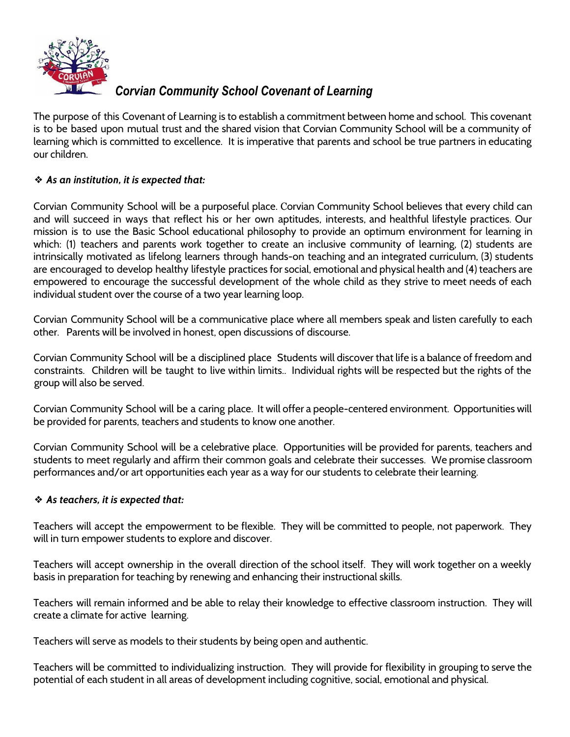

## *Corvian Community School Covenant of Learning*

The purpose of this Covenant of Learning is to establish a commitment between home and school. This covenant is to be based upon mutual trust and the shared vision that Corvian Community School will be a community of learning which is committed to excellence. It is imperative that parents and school be true partners in educating our children.

### ❖ *As an institution, it is expected that:*

Corvian Community School will be a purposeful place. Corvian Community School believes that every child can and will succeed in ways that reflect his or her own aptitudes, interests, and healthful lifestyle practices. Our mission is to use the Basic School educational philosophy to provide an optimum environment for learning in which: (1) teachers and parents work together to create an inclusive community of learning, (2) students are intrinsically motivated as lifelong learners through hands-on teaching and an integrated curriculum, (3) students are encouraged to develop healthy lifestyle practices for social, emotional and physical health and (4) teachers are empowered to encourage the successful development of the whole child as they strive to meet needs of each individual student over the course of a two year learning loop.

Corvian Community School will be a communicative place where all members speak and listen carefully to each other. Parents will be involved in honest, open discussions of discourse.

Corvian Community School will be a disciplined place Students will discover that life is a balance of freedom and constraints. Children will be taught to live within limits.. Individual rights will be respected but the rights of the group will also be served.

Corvian Community School will be a caring place. It will offer a people-centered environment. Opportunities will be provided for parents, teachers and students to know one another.

Corvian Community School will be a celebrative place. Opportunities will be provided for parents, teachers and students to meet regularly and affirm their common goals and celebrate their successes. We promise classroom performances and/or art opportunities each year as a way for our students to celebrate their learning.

#### ❖ *As teachers, it is expected that:*

Teachers will accept the empowerment to be flexible. They will be committed to people, not paperwork. They will in turn empower students to explore and discover.

Teachers will accept ownership in the overall direction of the school itself. They will work together on a weekly basis in preparation for teaching by renewing and enhancing their instructional skills.

Teachers will remain informed and be able to relay their knowledge to effective classroom instruction. They will create a climate for active learning.

Teachers will serve as models to their students by being open and authentic.

Teachers will be committed to individualizing instruction. They will provide for flexibility in grouping to serve the potential of each student in all areas of development including cognitive, social, emotional and physical.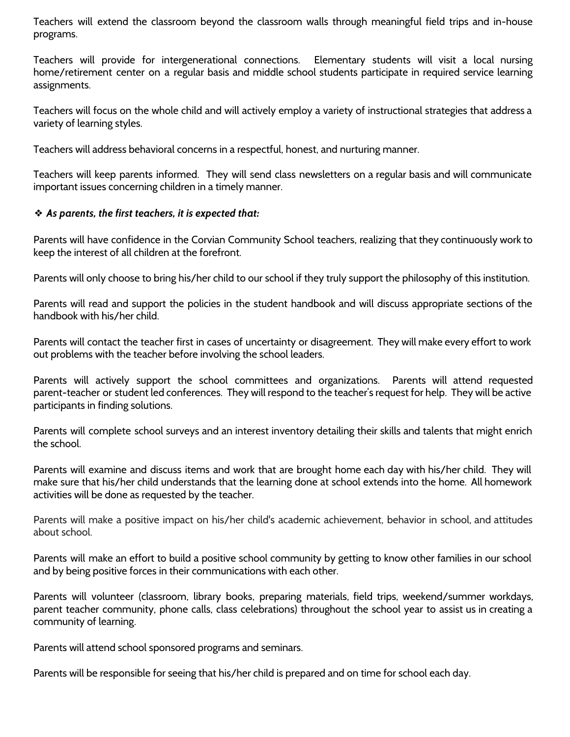Teachers will extend the classroom beyond the classroom walls through meaningful field trips and in-house programs.

Teachers will provide for intergenerational connections. Elementary students will visit a local nursing home/retirement center on a regular basis and middle school students participate in required service learning assignments.

Teachers will focus on the whole child and will actively employ a variety of instructional strategies that address a variety of learning styles.

Teachers will address behavioral concerns in a respectful, honest, and nurturing manner.

Teachers will keep parents informed. They will send class newsletters on a regular basis and will communicate important issues concerning children in a timely manner.

#### ❖ *As parents, the first teachers, it is expected that:*

Parents will have confidence in the Corvian Community School teachers, realizing that they continuously work to keep the interest of all children at the forefront.

Parents will only choose to bring his/her child to our school if they truly support the philosophy of this institution.

Parents will read and support the policies in the student handbook and will discuss appropriate sections of the handbook with his/her child.

Parents will contact the teacher first in cases of uncertainty or disagreement. They will make every effort to work out problems with the teacher before involving the school leaders.

Parents will actively support the school committees and organizations. Parents will attend requested parent-teacher or student led conferences. They will respond to the teacher's request for help. They will be active participants in finding solutions.

Parents will complete school surveys and an interest inventory detailing their skills and talents that might enrich the school.

Parents will examine and discuss items and work that are brought home each day with his/her child. They will make sure that his/her child understands that the learning done at school extends into the home. All homework activities will be done as requested by the teacher.

Parents will make a positive impact on his/her child's academic achievement, behavior in school, and attitudes about school.

Parents will make an effort to build a positive school community by getting to know other families in our school and by being positive forces in their communications with each other.

Parents will volunteer (classroom, library books, preparing materials, field trips, weekend/summer workdays, parent teacher community, phone calls, class celebrations) throughout the school year to assist us in creating a community of learning.

Parents will attend school sponsored programs and seminars.

Parents will be responsible for seeing that his/her child is prepared and on time for school each day.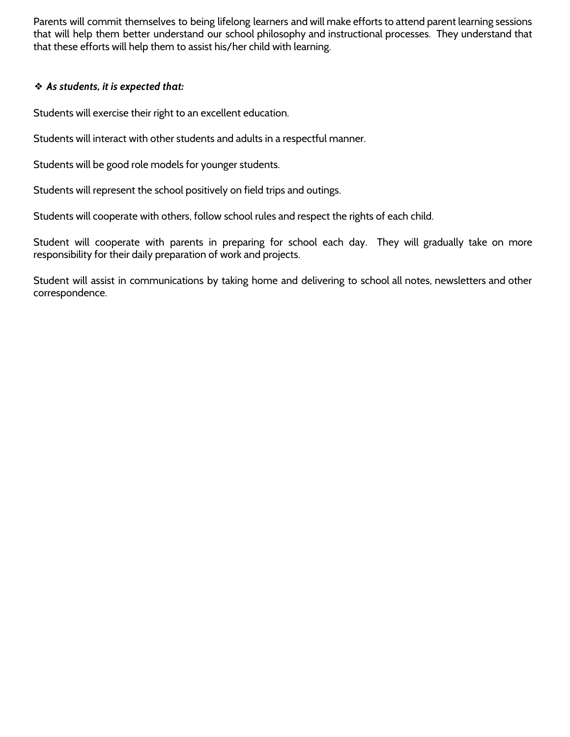Parents will commit themselves to being lifelong learners and will make efforts to attend parent learning sessions that will help them better understand our school philosophy and instructional processes. They understand that that these efforts will help them to assist his/her child with learning.

#### ❖ *As students, it is expected that:*

Students will exercise their right to an excellent education.

Students will interact with other students and adults in a respectful manner.

Students will be good role models for younger students.

Students will represent the school positively on field trips and outings.

Students will cooperate with others, follow school rules and respect the rights of each child.

Student will cooperate with parents in preparing for school each day. They will gradually take on more responsibility for their daily preparation of work and projects.

Student will assist in communications by taking home and delivering to school all notes, newsletters and other correspondence.